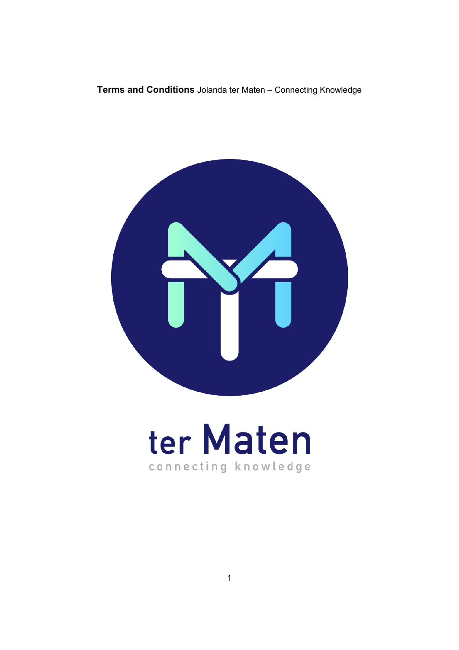Terms and Conditions Jolanda ter Maten - Connecting Knowledge



# ter Maten connecting knowledge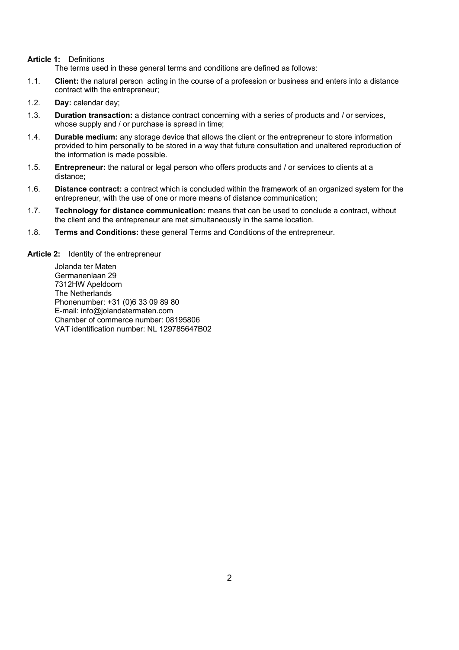# **Article 1:** Definitions

The terms used in these general terms and conditions are defined as follows:

- 1.1. **Client:** the natural person acting in the course of a profession or business and enters into a distance contract with the entrepreneur;
- 1.2. **Day:** calendar day;
- 1.3. **Duration transaction:** a distance contract concerning with a series of products and / or services, whose supply and / or purchase is spread in time;
- 1.4. **Durable medium:** any storage device that allows the client or the entrepreneur to store information provided to him personally to be stored in a way that future consultation and unaltered reproduction of the information is made possible.
- 1.5. **Entrepreneur:** the natural or legal person who offers products and / or services to clients at a distance;
- 1.6. **Distance contract:** a contract which is concluded within the framework of an organized system for the entrepreneur, with the use of one or more means of distance communication;
- 1.7. **Technology for distance communication:** means that can be used to conclude a contract, without the client and the entrepreneur are met simultaneously in the same location.
- 1.8. **Terms and Conditions:** these general Terms and Conditions of the entrepreneur.

**Article 2:** Identity of the entrepreneur

Jolanda ter Maten Germanenlaan 29 7312HW Apeldoorn The Netherlands Phonenumber: +31 (0)6 33 09 89 80 E-mail: info@jolandatermaten.com Chamber of commerce number: 08195806 VAT identification number: NL 129785647B02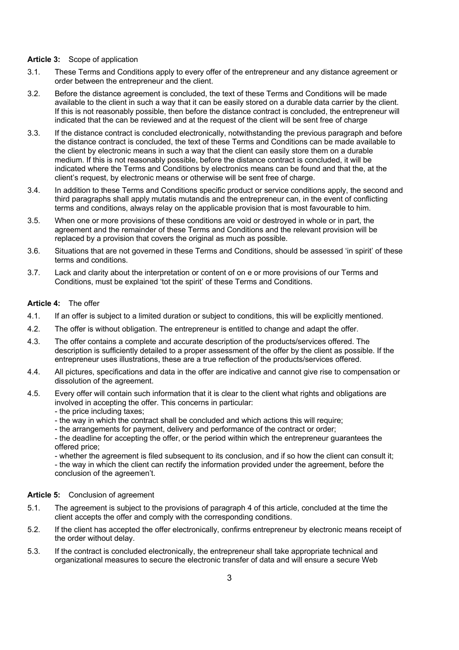### **Article 3:** Scope of application

- 3.1. These Terms and Conditions apply to every offer of the entrepreneur and any distance agreement or order between the entrepreneur and the client.
- 3.2. Before the distance agreement is concluded, the text of these Terms and Conditions will be made available to the client in such a way that it can be easily stored on a durable data carrier by the client. If this is not reasonably possible, then before the distance contract is concluded, the entrepreneur will indicated that the can be reviewed and at the request of the client will be sent free of charge
- 3.3. If the distance contract is concluded electronically, notwithstanding the previous paragraph and before the distance contract is concluded, the text of these Terms and Conditions can be made available to the client by electronic means in such a way that the client can easily store them on a durable medium. If this is not reasonably possible, before the distance contract is concluded, it will be indicated where the Terms and Conditions by electronics means can be found and that the, at the client's request, by electronic means or otherwise will be sent free of charge.
- 3.4. In addition to these Terms and Conditions specific product or service conditions apply, the second and third paragraphs shall apply mutatis mutandis and the entrepreneur can, in the event of conflicting terms and conditions, always relay on the applicable provision that is most favourable to him.
- 3.5. When one or more provisions of these conditions are void or destroyed in whole or in part, the agreement and the remainder of these Terms and Conditions and the relevant provision will be replaced by a provision that covers the original as much as possible.
- 3.6. Situations that are not governed in these Terms and Conditions, should be assessed 'in spirit' of these terms and conditions.
- 3.7. Lack and clarity about the interpretation or content of on e or more provisions of our Terms and Conditions, must be explained 'tot the spirit' of these Terms and Conditions.

# **Article 4:** The offer

- 4.1. If an offer is subject to a limited duration or subject to conditions, this will be explicitly mentioned.
- 4.2. The offer is without obligation. The entrepreneur is entitled to change and adapt the offer.
- 4.3. The offer contains a complete and accurate description of the products/services offered. The description is sufficiently detailed to a proper assessment of the offer by the client as possible. If the entrepreneur uses illustrations, these are a true reflection of the products/services offered.
- 4.4. All pictures, specifications and data in the offer are indicative and cannot give rise to compensation or dissolution of the agreement.
- 4.5. Every offer will contain such information that it is clear to the client what rights and obligations are involved in accepting the offer. This concerns in particular:
	- the price including taxes;
	- the way in which the contract shall be concluded and which actions this will require;
	- the arrangements for payment, delivery and performance of the contract or order;
	- the deadline for accepting the offer, or the period within which the entrepreneur guarantees the offered price;

- whether the agreement is filed subsequent to its conclusion, and if so how the client can consult it; - the way in which the client can rectify the information provided under the agreement, before the conclusion of the agreemen't.

#### **Article 5:** Conclusion of agreement

- 5.1. The agreement is subject to the provisions of paragraph 4 of this article, concluded at the time the client accepts the offer and comply with the corresponding conditions.
- 5.2. If the client has accepted the offer electronically, confirms entrepreneur by electronic means receipt of the order without delay.
- 5.3. If the contract is concluded electronically, the entrepreneur shall take appropriate technical and organizational measures to secure the electronic transfer of data and will ensure a secure Web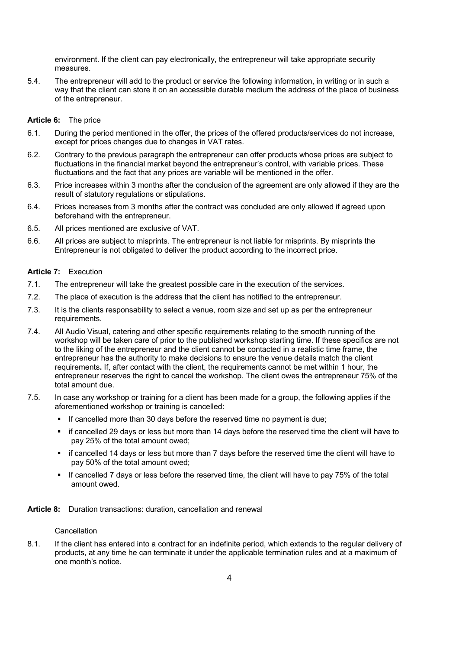environment. If the client can pay electronically, the entrepreneur will take appropriate security measures.

5.4. The entrepreneur will add to the product or service the following information, in writing or in such a way that the client can store it on an accessible durable medium the address of the place of business of the entrepreneur.

#### **Article 6:** The price

- 6.1. During the period mentioned in the offer, the prices of the offered products/services do not increase, except for prices changes due to changes in VAT rates.
- 6.2. Contrary to the previous paragraph the entrepreneur can offer products whose prices are subject to fluctuations in the financial market beyond the entrepreneur's control, with variable prices. These fluctuations and the fact that any prices are variable will be mentioned in the offer.
- 6.3. Price increases within 3 months after the conclusion of the agreement are only allowed if they are the result of statutory regulations or stipulations.
- 6.4. Prices increases from 3 months after the contract was concluded are only allowed if agreed upon beforehand with the entrepreneur.
- 6.5. All prices mentioned are exclusive of VAT.
- 6.6. All prices are subject to misprints. The entrepreneur is not liable for misprints. By misprints the Entrepreneur is not obligated to deliver the product according to the incorrect price.

### **Article 7:** Execution

- 7.1. The entrepreneur will take the greatest possible care in the execution of the services.
- 7.2. The place of execution is the address that the client has notified to the entrepreneur.
- 7.3. It is the clients responsability to select a venue, room size and set up as per the entrepreneur requirements.
- 7.4. All Audio Visual, catering and other specific requirements relating to the smooth running of the workshop will be taken care of prior to the published workshop starting time. If these specifics are not to the liking of the entrepreneur and the client cannot be contacted in a realistic time frame, the entrepreneur has the authority to make decisions to ensure the venue details match the client requirements**.** If, after contact with the client, the requirements cannot be met within 1 hour, the entrepreneur reserves the right to cancel the workshop. The client owes the entrepreneur 75% of the total amount due.
- 7.5. In case any workshop or training for a client has been made for a group, the following applies if the aforementioned workshop or training is cancelled:
	- **•** If cancelled more than 30 days before the reserved time no payment is due;
	- if cancelled 29 days or less but more than 14 days before the reserved time the client will have to pay 25% of the total amount owed;
	- if cancelled 14 days or less but more than 7 days before the reserved time the client will have to pay 50% of the total amount owed;
	- § If cancelled 7 days or less before the reserved time, the client will have to pay 75% of the total amount owed.
- **Article 8:** Duration transactions: duration, cancellation and renewal

#### Cancellation

8.1. If the client has entered into a contract for an indefinite period, which extends to the regular delivery of products, at any time he can terminate it under the applicable termination rules and at a maximum of one month's notice.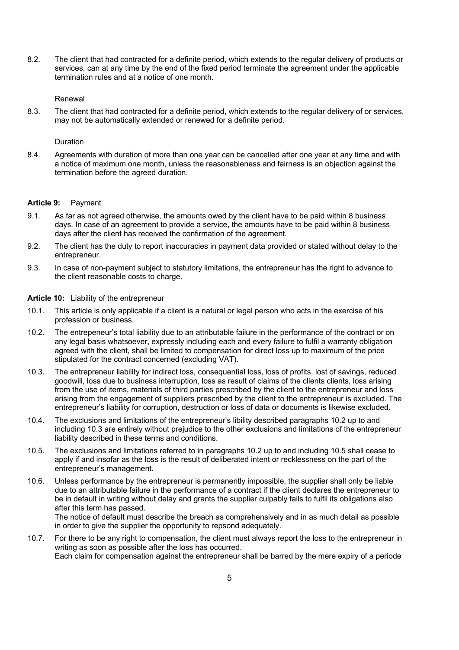8.2. The client that had contracted for a definite period, which extends to the regular delivery of products or services, can at any time by the end of the fixed period terminate the agreement under the applicable termination rules and at a notice of one month.

# Renewal

8.3. The client that had contracted for a definite period, which extends to the regular delivery of or services, may not be automatically extended or renewed for a definite period.

#### **Duration**

8.4. Agreements with duration of more than one year can be cancelled after one year at any time and with a notice of maximum one month, unless the reasonableness and fairness is an objection against the termination before the agreed duration.

#### **Article 9:** Payment

- 9.1. As far as not agreed otherwise, the amounts owed by the client have to be paid within 8 business days. In case of an agreement to provide a service, the amounts have to be paid within 8 business days after the client has received the confirmation of the agreement.
- 9.2. The client has the duty to report inaccuracies in payment data provided or stated without delay to the entrepreneur.
- 9.3. In case of non-payment subject to statutory limitations, the entrepreneur has the right to advance to the client reasonable costs to charge.

#### **Article 10:** Liability of the entrepreneur

- 10.1. This article is only applicable if a client is a natural or legal person who acts in the exercise of his profession or business.
- 10.2. The entrepeneur's total liability due to an attributable failure in the performance of the contract or on any legal basis whatsoever, expressly including each and every failure to fulfil a warranty obligation agreed with the client, shall be limited to compensation for direct loss up to maximum of the price stipulated for the contract concerned (excluding VAT).
- 10.3. The entrepreneur liability for indirect loss, consequential loss, loss of profits, lost of savings, reduced goodwill, loss due to business interruption, loss as result of claims of the clients clients, loss arising from the use of items, materials of third parties prescribed by the client to the entrepreneur and loss arising from the engagement of suppliers prescribed by the client to the entrepreneur is excluded. The entrepreneur's liability for corruption, destruction or loss of data or documents is likewise excluded.
- 10.4. The exclusions and limitations of the entrepreneur's libility described paragraphs 10.2 up to and including 10.3 are entirely without prejudice to the other exclusions and limitations of the entrepreneur liability described in these terms and conditions.
- 10.5. The exclusions and limitations referred to in paragraphs 10.2 up to and including 10.5 shall cease to apply if and insofar as the loss is the result of deliberated intent or recklessness on the part of the entrepreneur's management.
- 10.6. Unless performance by the entrepreneur is permanently impossible, the supplier shall only be liable due to an attributable failure in the performance of a contract if the client declares the entrepreneur to be in default in writing without delay and grants the supplier culpably fails to fulfil its obligations also after this term has passed. The notice of default must describe the breach as comprehensively and in as much detail as possible

in order to give the supplier the opportunity to repsond adequately.

10.7. For there to be any right to compensation, the client must always report the loss to the entrepreneur in writing as soon as possible after the loss has occurred. Each claim for compensation against the entrepreneur shall be barred by the mere expiry of a periode